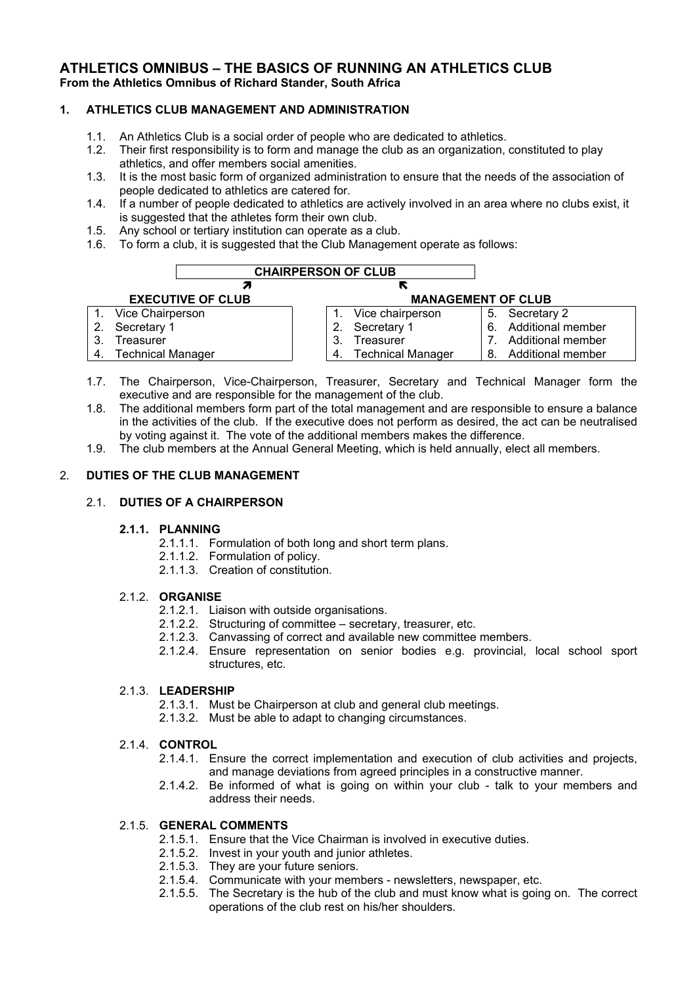# **ATHLETICS OMNIBUS – THE BASICS OF RUNNING AN ATHLETICS CLUB From the Athletics Omnibus of Richard Stander, South Africa**

# **1. ATHLETICS CLUB MANAGEMENT AND ADMINISTRATION**

- 1.1. An Athletics Club is a social order of people who are dedicated to athletics.
- 1.2. Their first responsibility is to form and manage the club as an organization, constituted to play athletics, and offer members social amenities.
- 1.3. It is the most basic form of organized administration to ensure that the needs of the association of people dedicated to athletics are catered for.
- 1.4. If a number of people dedicated to athletics are actively involved in an area where no clubs exist, it is suggested that the athletes form their own club.
- 1.5. Any school or tertiary institution can operate as a club.
- 1.6. To form a club, it is suggested that the Club Management operate as follows:

|                          | <b>CHAIRPERSON OF CLUB</b> |                                |                         |
|--------------------------|----------------------------|--------------------------------|-------------------------|
|                          |                            |                                |                         |
| <b>EXECUTIVE OF CLUB</b> |                            | <b>MANAGEMENT OF CLUB</b>      |                         |
| 1.                       | Vice Chairperson           | Vice chairperson               | Secretary 2<br>5.       |
| 2.                       | Secretary 1                | Secretary 1                    | Additional member<br>6. |
| 3.                       | Treasurer                  | Treasurer                      | Additional member       |
| 4.                       | <b>Technical Manager</b>   | <b>Technical Manager</b><br>4. | Additional member<br>8. |

- 1.7. The Chairperson, Vice-Chairperson, Treasurer, Secretary and Technical Manager form the executive and are responsible for the management of the club.
- 1.8. The additional members form part of the total management and are responsible to ensure a balance in the activities of the club. If the executive does not perform as desired, the act can be neutralised by voting against it. The vote of the additional members makes the difference.
- 1.9. The club members at the Annual General Meeting, which is held annually, elect all members.

## 2. **DUTIES OF THE CLUB MANAGEMENT**

## 2.1. **DUTIES OF A CHAIRPERSON**

#### **2.1.1. PLANNING**

- 2.1.1.1. Formulation of both long and short term plans.
- 2.1.1.2. Formulation of policy.
- 2.1.1.3. Creation of constitution.

## 2.1.2. **ORGANISE**

- 2.1.2.1. Liaison with outside organisations.
- 2.1.2.2. Structuring of committee secretary, treasurer, etc.
- 2.1.2.3. Canvassing of correct and available new committee members.
- 2.1.2.4. Ensure representation on senior bodies e.g. provincial, local school sport structures, etc.

#### 2.1.3. **LEADERSHIP**

- 2.1.3.1. Must be Chairperson at club and general club meetings.
- 2.1.3.2. Must be able to adapt to changing circumstances.

## 2.1.4. **CONTROL**

- 2.1.4.1. Ensure the correct implementation and execution of club activities and projects, and manage deviations from agreed principles in a constructive manner.
- 2.1.4.2. Be informed of what is going on within your club talk to your members and address their needs.

# 2.1.5. **GENERAL COMMENTS**

- 2.1.5.1. Ensure that the Vice Chairman is involved in executive duties.
- 2.1.5.2. Invest in your youth and junior athletes.
- 2.1.5.3. They are your future seniors.
- 2.1.5.4. Communicate with your members newsletters, newspaper, etc.
- 2.1.5.5. The Secretary is the hub of the club and must know what is going on. The correct operations of the club rest on his/her shoulders.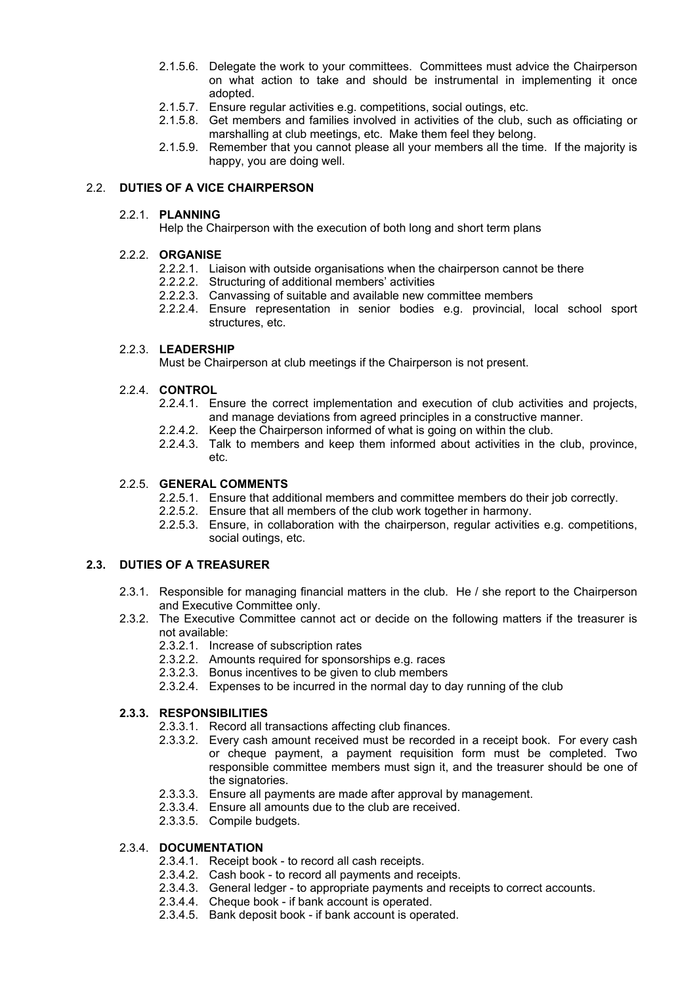- 2.1.5.6. Delegate the work to your committees. Committees must advice the Chairperson on what action to take and should be instrumental in implementing it once adopted.
- 2.1.5.7. Ensure regular activities e.g. competitions, social outings, etc.
- 2.1.5.8. Get members and families involved in activities of the club, such as officiating or marshalling at club meetings, etc. Make them feel they belong.
- 2.1.5.9. Remember that you cannot please all your members all the time. If the majority is happy, you are doing well.

## 2.2. **DUTIES OF A VICE CHAIRPERSON**

### 2.2.1. **PLANNING**

Help the Chairperson with the execution of both long and short term plans

## 2.2.2. **ORGANISE**

- 2.2.2.1. Liaison with outside organisations when the chairperson cannot be there
- 2.2.2.2. Structuring of additional members' activities
- 2.2.2.3. Canvassing of suitable and available new committee members
- 2.2.2.4. Ensure representation in senior bodies e.g. provincial, local school sport structures, etc.

### 2.2.3. **LEADERSHIP**

Must be Chairperson at club meetings if the Chairperson is not present.

### 2.2.4. **CONTROL**

- 2.2.4.1. Ensure the correct implementation and execution of club activities and projects, and manage deviations from agreed principles in a constructive manner.
- 2.2.4.2. Keep the Chairperson informed of what is going on within the club.
- 2.2.4.3. Talk to members and keep them informed about activities in the club, province, etc.

## 2.2.5. **GENERAL COMMENTS**

- 2.2.5.1. Ensure that additional members and committee members do their job correctly.
- 2.2.5.2. Ensure that all members of the club work together in harmony.
- 2.2.5.3. Ensure, in collaboration with the chairperson, regular activities e.g. competitions, social outings, etc.

## **2.3. DUTIES OF A TREASURER**

- 2.3.1. Responsible for managing financial matters in the club. He / she report to the Chairperson and Executive Committee only.
- 2.3.2. The Executive Committee cannot act or decide on the following matters if the treasurer is not available:
	- 2.3.2.1. Increase of subscription rates
	- 2.3.2.2. Amounts required for sponsorships e.g. races
	- 2.3.2.3. Bonus incentives to be given to club members
	- 2.3.2.4. Expenses to be incurred in the normal day to day running of the club

## **2.3.3. RESPONSIBILITIES**

- 2.3.3.1. Record all transactions affecting club finances.
- 2.3.3.2. Every cash amount received must be recorded in a receipt book. For every cash or cheque payment, a payment requisition form must be completed. Two responsible committee members must sign it, and the treasurer should be one of the signatories.
- 2.3.3.3. Ensure all payments are made after approval by management.
- 2.3.3.4. Ensure all amounts due to the club are received.
- 2.3.3.5. Compile budgets.

# 2.3.4. **DOCUMENTATION**

- 2.3.4.1. Receipt book to record all cash receipts.
- 2.3.4.2. Cash book to record all payments and receipts.
- 2.3.4.3. General ledger to appropriate payments and receipts to correct accounts.
- 2.3.4.4. Cheque book if bank account is operated.
- 2.3.4.5. Bank deposit book if bank account is operated.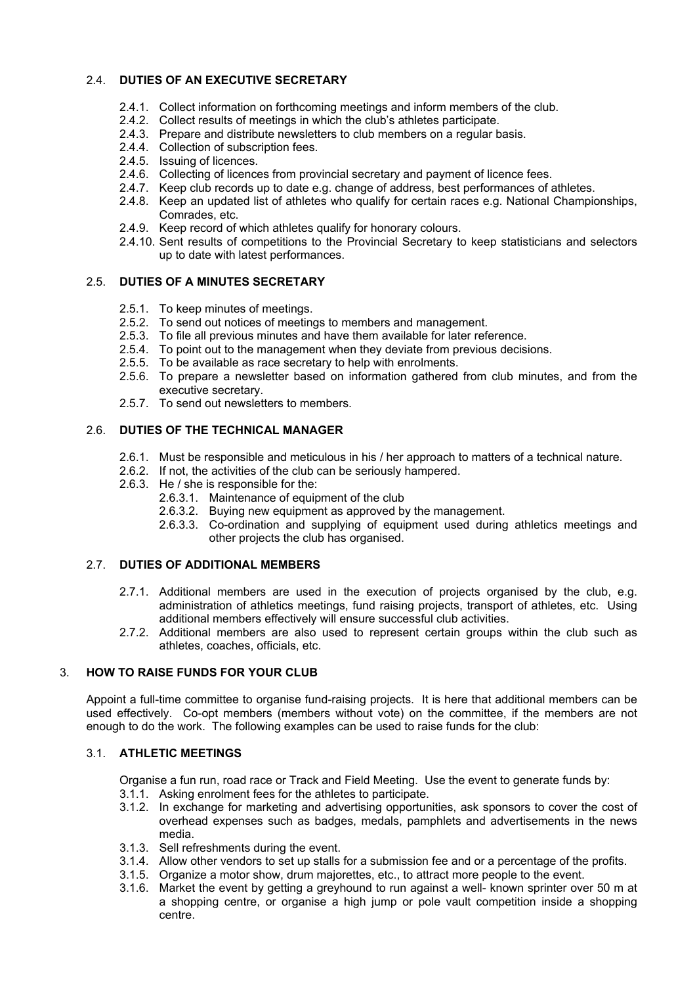# 2.4. **DUTIES OF AN EXECUTIVE SECRETARY**

- 2.4.1. Collect information on forthcoming meetings and inform members of the club.
- 2.4.2. Collect results of meetings in which the club's athletes participate.
- 2.4.3. Prepare and distribute newsletters to club members on a regular basis.
- 2.4.4. Collection of subscription fees.
- 2.4.5. Issuing of licences.
- 2.4.6. Collecting of licences from provincial secretary and payment of licence fees.
- 2.4.7. Keep club records up to date e.g. change of address, best performances of athletes.
- 2.4.8. Keep an updated list of athletes who qualify for certain races e.g. National Championships, Comrades, etc.
- 2.4.9. Keep record of which athletes qualify for honorary colours.
- 2.4.10. Sent results of competitions to the Provincial Secretary to keep statisticians and selectors up to date with latest performances.

### 2.5. **DUTIES OF A MINUTES SECRETARY**

- 2.5.1. To keep minutes of meetings.
- 2.5.2. To send out notices of meetings to members and management.
- 2.5.3. To file all previous minutes and have them available for later reference.
- 2.5.4. To point out to the management when they deviate from previous decisions.
- 2.5.5. To be available as race secretary to help with enrolments.
- 2.5.6. To prepare a newsletter based on information gathered from club minutes, and from the executive secretary.
- 2.5.7. To send out newsletters to members.

### 2.6. **DUTIES OF THE TECHNICAL MANAGER**

- 2.6.1. Must be responsible and meticulous in his / her approach to matters of a technical nature.
- 2.6.2. If not, the activities of the club can be seriously hampered.
- 2.6.3. He / she is responsible for the:
	- 2.6.3.1. Maintenance of equipment of the club
	- 2.6.3.2. Buying new equipment as approved by the management.
	- 2.6.3.3. Co-ordination and supplying of equipment used during athletics meetings and other projects the club has organised.

## 2.7. **DUTIES OF ADDITIONAL MEMBERS**

- 2.7.1. Additional members are used in the execution of projects organised by the club, e.g. administration of athletics meetings, fund raising projects, transport of athletes, etc. Using additional members effectively will ensure successful club activities.
- 2.7.2. Additional members are also used to represent certain groups within the club such as athletes, coaches, officials, etc.

## 3. **HOW TO RAISE FUNDS FOR YOUR CLUB**

Appoint a full-time committee to organise fund-raising projects. It is here that additional members can be used effectively. Co-opt members (members without vote) on the committee, if the members are not enough to do the work. The following examples can be used to raise funds for the club:

### 3.1. **ATHLETIC MEETINGS**

Organise a fun run, road race or Track and Field Meeting. Use the event to generate funds by: 3.1.1. Asking enrolment fees for the athletes to participate.

- 3.1.2. In exchange for marketing and advertising opportunities, ask sponsors to cover the cost of overhead expenses such as badges, medals, pamphlets and advertisements in the news media.
- 3.1.3. Sell refreshments during the event.
- 3.1.4. Allow other vendors to set up stalls for a submission fee and or a percentage of the profits.
- 3.1.5. Organize a motor show, drum majorettes, etc., to attract more people to the event.
- 3.1.6. Market the event by getting a greyhound to run against a well- known sprinter over 50 m at a shopping centre, or organise a high jump or pole vault competition inside a shopping centre.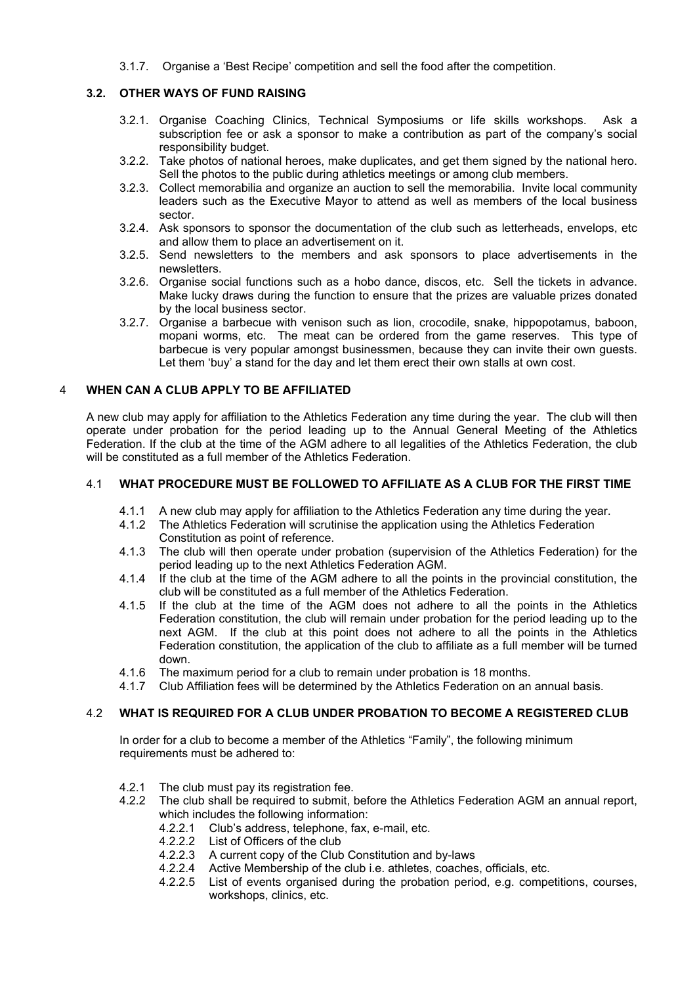3.1.7. Organise a 'Best Recipe' competition and sell the food after the competition.

# **3.2. OTHER WAYS OF FUND RAISING**

- 3.2.1. Organise Coaching Clinics, Technical Symposiums or life skills workshops. Ask a subscription fee or ask a sponsor to make a contribution as part of the company's social responsibility budget.
- 3.2.2. Take photos of national heroes, make duplicates, and get them signed by the national hero. Sell the photos to the public during athletics meetings or among club members.
- 3.2.3. Collect memorabilia and organize an auction to sell the memorabilia. Invite local community leaders such as the Executive Mayor to attend as well as members of the local business sector.
- 3.2.4. Ask sponsors to sponsor the documentation of the club such as letterheads, envelops, etc and allow them to place an advertisement on it.
- 3.2.5. Send newsletters to the members and ask sponsors to place advertisements in the newsletters.
- 3.2.6. Organise social functions such as a hobo dance, discos, etc. Sell the tickets in advance. Make lucky draws during the function to ensure that the prizes are valuable prizes donated by the local business sector.
- 3.2.7. Organise a barbecue with venison such as lion, crocodile, snake, hippopotamus, baboon, mopani worms, etc. The meat can be ordered from the game reserves. This type of barbecue is very popular amongst businessmen, because they can invite their own guests. Let them 'buy' a stand for the day and let them erect their own stalls at own cost.

# 4 **WHEN CAN A CLUB APPLY TO BE AFFILIATED**

A new club may apply for affiliation to the Athletics Federation any time during the year. The club will then operate under probation for the period leading up to the Annual General Meeting of the Athletics Federation. If the club at the time of the AGM adhere to all legalities of the Athletics Federation, the club will be constituted as a full member of the Athletics Federation.

# 4.1 **WHAT PROCEDURE MUST BE FOLLOWED TO AFFILIATE AS A CLUB FOR THE FIRST TIME**

- 4.1.1 A new club may apply for affiliation to the Athletics Federation any time during the year.
- 4.1.2 The Athletics Federation will scrutinise the application using the Athletics Federation Constitution as point of reference.
- 4.1.3 The club will then operate under probation (supervision of the Athletics Federation) for the period leading up to the next Athletics Federation AGM.
- 4.1.4 If the club at the time of the AGM adhere to all the points in the provincial constitution, the club will be constituted as a full member of the Athletics Federation.
- 4.1.5 If the club at the time of the AGM does not adhere to all the points in the Athletics Federation constitution, the club will remain under probation for the period leading up to the next AGM. If the club at this point does not adhere to all the points in the Athletics Federation constitution, the application of the club to affiliate as a full member will be turned down.
- 4.1.6 The maximum period for a club to remain under probation is 18 months.
- 4.1.7 Club Affiliation fees will be determined by the Athletics Federation on an annual basis.

# 4.2 **WHAT IS REQUIRED FOR A CLUB UNDER PROBATION TO BECOME A REGISTERED CLUB**

In order for a club to become a member of the Athletics "Family", the following minimum requirements must be adhered to:

- 4.2.1 The club must pay its registration fee.
- 4.2.2 The club shall be required to submit, before the Athletics Federation AGM an annual report, which includes the following information:
	- 4.2.2.1 Club's address, telephone, fax, e-mail, etc.
	- 4.2.2.2 List of Officers of the club
	- 4.2.2.3 A current copy of the Club Constitution and by-laws
	- 4.2.2.4 Active Membership of the club i.e. athletes, coaches, officials, etc.
	- 4.2.2.5 List of events organised during the probation period, e.g. competitions, courses, workshops, clinics, etc.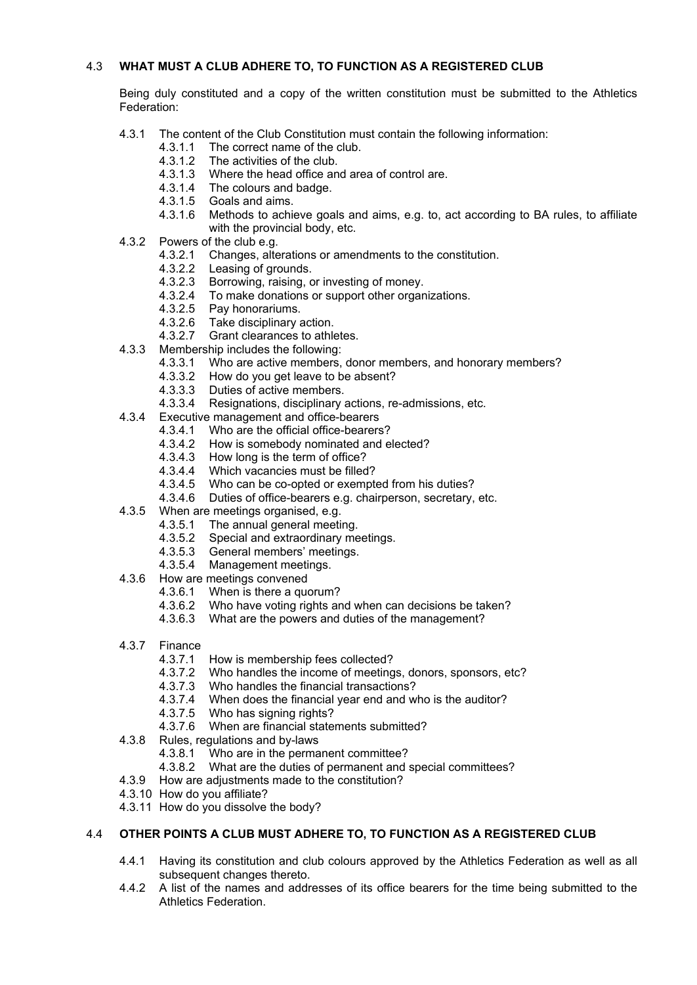# 4.3 **WHAT MUST A CLUB ADHERE TO, TO FUNCTION AS A REGISTERED CLUB**

Being duly constituted and a copy of the written constitution must be submitted to the Athletics Federation:

- 4.3.1 The content of the Club Constitution must contain the following information:
	- 4.3.1.1 The correct name of the club.
	- 4.3.1.2 The activities of the club.
	- 4.3.1.3 Where the head office and area of control are.
	- 4.3.1.4 The colours and badge.
	- 4.3.1.5 Goals and aims.
	- 4.3.1.6 Methods to achieve goals and aims, e.g. to, act according to BA rules, to affiliate with the provincial body, etc.
- 4.3.2 Powers of the club e.g.
	- 4.3.2.1 Changes, alterations or amendments to the constitution.
	- 4.3.2.2 Leasing of grounds.
	- 4.3.2.3 Borrowing, raising, or investing of money.
	- 4.3.2.4 To make donations or support other organizations.
	- 4.3.2.5 Pay honorariums.
	- 4.3.2.6 Take disciplinary action.
	- 4.3.2.7 Grant clearances to athletes.
- 4.3.3 Membership includes the following:
	- 4.3.3.1 Who are active members, donor members, and honorary members?
	- 4.3.3.2 How do you get leave to be absent?
	- 4.3.3.3 Duties of active members.
	- 4.3.3.4 Resignations, disciplinary actions, re-admissions, etc.
- 4.3.4 Executive management and office-bearers
	- 4.3.4.1 Who are the official office-bearers?
	- 4.3.4.2 How is somebody nominated and elected?
	- 4.3.4.3 How long is the term of office?
	- 4.3.4.4 Which vacancies must be filled?
	- 4.3.4.5 Who can be co-opted or exempted from his duties?
	- 4.3.4.6 Duties of office-bearers e.g. chairperson, secretary, etc.
- 4.3.5 When are meetings organised, e.g.
	- 4.3.5.1 The annual general meeting.
	- 4.3.5.2 Special and extraordinary meetings.
	- 4.3.5.3 General members' meetings.
	- 4.3.5.4 Management meetings.
- 4.3.6 How are meetings convened
	- 4.3.6.1 When is there a quorum?
	- 4.3.6.2 Who have voting rights and when can decisions be taken?
	- 4.3.6.3 What are the powers and duties of the management?
- 4.3.7 Finance
	- 4.3.7.1 How is membership fees collected?
	- 4.3.7.2 Who handles the income of meetings, donors, sponsors, etc?
	- 4.3.7.3 Who handles the financial transactions?
	- 4.3.7.4 When does the financial year end and who is the auditor?
	- 4.3.7.5 Who has signing rights?
	- 4.3.7.6 When are financial statements submitted?
- 4.3.8 Rules, regulations and by-laws
	- 4.3.8.1 Who are in the permanent committee?
	- 4.3.8.2 What are the duties of permanent and special committees?
- 4.3.9 How are adjustments made to the constitution?
- 4.3.10 How do you affiliate?
- 4.3.11 How do you dissolve the body?

## 4.4 **OTHER POINTS A CLUB MUST ADHERE TO, TO FUNCTION AS A REGISTERED CLUB**

- 4.4.1 Having its constitution and club colours approved by the Athletics Federation as well as all subsequent changes thereto.
- 4.4.2 A list of the names and addresses of its office bearers for the time being submitted to the Athletics Federation.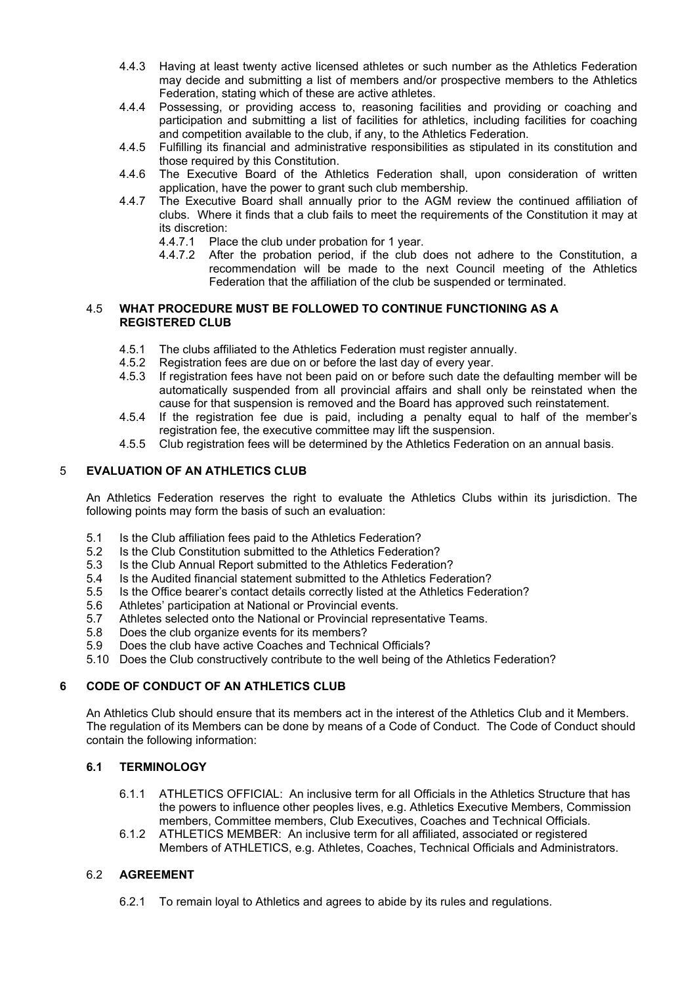- 4.4.3 Having at least twenty active licensed athletes or such number as the Athletics Federation may decide and submitting a list of members and/or prospective members to the Athletics Federation, stating which of these are active athletes.
- 4.4.4 Possessing, or providing access to, reasoning facilities and providing or coaching and participation and submitting a list of facilities for athletics, including facilities for coaching and competition available to the club, if any, to the Athletics Federation.
- 4.4.5 Fulfilling its financial and administrative responsibilities as stipulated in its constitution and those required by this Constitution.
- 4.4.6 The Executive Board of the Athletics Federation shall, upon consideration of written application, have the power to grant such club membership.
- 4.4.7 The Executive Board shall annually prior to the AGM review the continued affiliation of clubs. Where it finds that a club fails to meet the requirements of the Constitution it may at its discretion:
	- 4.4.7.1 Place the club under probation for 1 year.
	- 4.4.7.2 After the probation period, if the club does not adhere to the Constitution, a recommendation will be made to the next Council meeting of the Athletics Federation that the affiliation of the club be suspended or terminated.

### 4.5 **WHAT PROCEDURE MUST BE FOLLOWED TO CONTINUE FUNCTIONING AS A REGISTERED CLUB**

- 4.5.1 The clubs affiliated to the Athletics Federation must register annually.
- 4.5.2 Registration fees are due on or before the last day of every year.
- 4.5.3 If registration fees have not been paid on or before such date the defaulting member will be automatically suspended from all provincial affairs and shall only be reinstated when the cause for that suspension is removed and the Board has approved such reinstatement.
- 4.5.4 If the registration fee due is paid, including a penalty equal to half of the member's registration fee, the executive committee may lift the suspension.
- 4.5.5 Club registration fees will be determined by the Athletics Federation on an annual basis.

## 5 **EVALUATION OF AN ATHLETICS CLUB**

An Athletics Federation reserves the right to evaluate the Athletics Clubs within its jurisdiction. The following points may form the basis of such an evaluation:

- 5.1 Is the Club affiliation fees paid to the Athletics Federation?
- 5.2 Is the Club Constitution submitted to the Athletics Federation?
- 5.3 Is the Club Annual Report submitted to the Athletics Federation?
- 5.4 Is the Audited financial statement submitted to the Athletics Federation?
- 5.5 Is the Office bearer's contact details correctly listed at the Athletics Federation?
- 5.6 Athletes' participation at National or Provincial events.
- 5.7 Athletes selected onto the National or Provincial representative Teams.
- 5.8 Does the club organize events for its members?
- 5.9 Does the club have active Coaches and Technical Officials?
- 5.10 Does the Club constructively contribute to the well being of the Athletics Federation?

## **6 CODE OF CONDUCT OF AN ATHLETICS CLUB**

An Athletics Club should ensure that its members act in the interest of the Athletics Club and it Members. The regulation of its Members can be done by means of a Code of Conduct. The Code of Conduct should contain the following information:

## **6.1 TERMINOLOGY**

- 6.1.1 ATHLETICS OFFICIAL: An inclusive term for all Officials in the Athletics Structure that has the powers to influence other peoples lives, e.g. Athletics Executive Members, Commission members, Committee members, Club Executives, Coaches and Technical Officials.
- 6.1.2 ATHLETICS MEMBER: An inclusive term for all affiliated, associated or registered Members of ATHLETICS, e.g. Athletes, Coaches, Technical Officials and Administrators.

## 6.2 **AGREEMENT**

6.2.1 To remain loyal to Athletics and agrees to abide by its rules and regulations.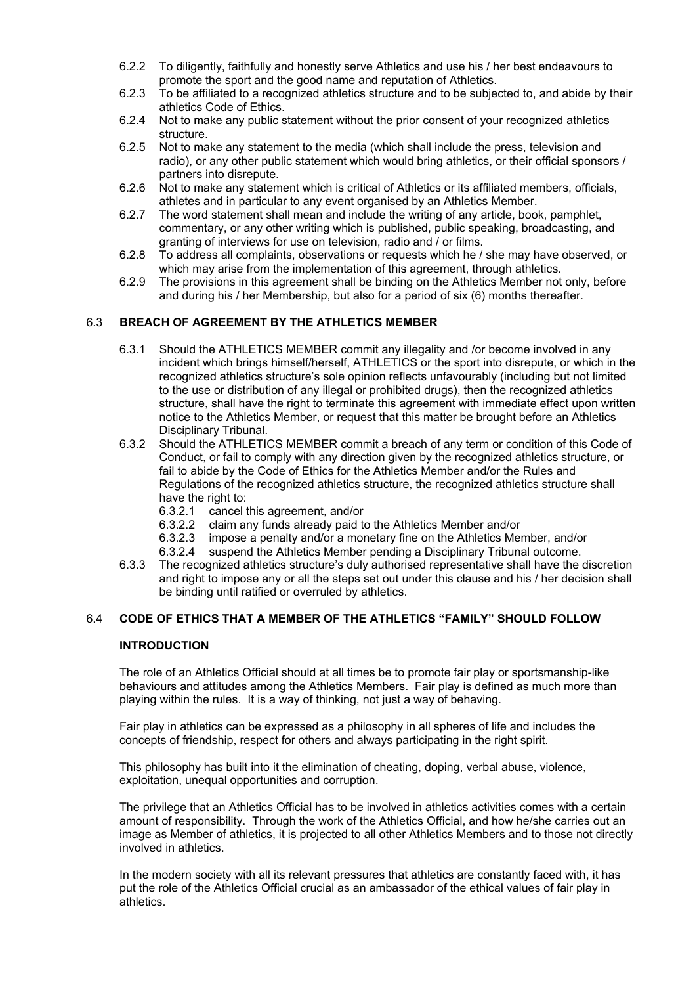- 6.2.2 To diligently, faithfully and honestly serve Athletics and use his / her best endeavours to promote the sport and the good name and reputation of Athletics.
- 6.2.3 To be affiliated to a recognized athletics structure and to be subjected to, and abide by their athletics Code of Ethics.
- 6.2.4 Not to make any public statement without the prior consent of your recognized athletics structure.
- 6.2.5 Not to make any statement to the media (which shall include the press, television and radio), or any other public statement which would bring athletics, or their official sponsors / partners into disrepute.
- 6.2.6 Not to make any statement which is critical of Athletics or its affiliated members, officials, athletes and in particular to any event organised by an Athletics Member.
- 6.2.7 The word statement shall mean and include the writing of any article, book, pamphlet, commentary, or any other writing which is published, public speaking, broadcasting, and granting of interviews for use on television, radio and / or films.
- 6.2.8 To address all complaints, observations or requests which he / she may have observed, or which may arise from the implementation of this agreement, through athletics.
- 6.2.9 The provisions in this agreement shall be binding on the Athletics Member not only, before and during his / her Membership, but also for a period of six (6) months thereafter.

# 6.3 **BREACH OF AGREEMENT BY THE ATHLETICS MEMBER**

- 6.3.1 Should the ATHLETICS MEMBER commit any illegality and /or become involved in any incident which brings himself/herself, ATHLETICS or the sport into disrepute, or which in the recognized athletics structure's sole opinion reflects unfavourably (including but not limited to the use or distribution of any illegal or prohibited drugs), then the recognized athletics structure, shall have the right to terminate this agreement with immediate effect upon written notice to the Athletics Member, or request that this matter be brought before an Athletics Disciplinary Tribunal.
- 6.3.2 Should the ATHLETICS MEMBER commit a breach of any term or condition of this Code of Conduct, or fail to comply with any direction given by the recognized athletics structure, or fail to abide by the Code of Ethics for the Athletics Member and/or the Rules and Regulations of the recognized athletics structure, the recognized athletics structure shall have the right to:
	- 6.3.2.1 cancel this agreement, and/or
	- 6.3.2.2 claim any funds already paid to the Athletics Member and/or
	- 6.3.2.3 impose a penalty and/or a monetary fine on the Athletics Member, and/or
	- 6.3.2.4 suspend the Athletics Member pending a Disciplinary Tribunal outcome.
- 6.3.3 The recognized athletics structure's duly authorised representative shall have the discretion and right to impose any or all the steps set out under this clause and his / her decision shall be binding until ratified or overruled by athletics.

## 6.4 **CODE OF ETHICS THAT A MEMBER OF THE ATHLETICS "FAMILY" SHOULD FOLLOW**

### **INTRODUCTION**

The role of an Athletics Official should at all times be to promote fair play or sportsmanship-like behaviours and attitudes among the Athletics Members. Fair play is defined as much more than playing within the rules. It is a way of thinking, not just a way of behaving.

Fair play in athletics can be expressed as a philosophy in all spheres of life and includes the concepts of friendship, respect for others and always participating in the right spirit.

This philosophy has built into it the elimination of cheating, doping, verbal abuse, violence, exploitation, unequal opportunities and corruption.

The privilege that an Athletics Official has to be involved in athletics activities comes with a certain amount of responsibility. Through the work of the Athletics Official, and how he/she carries out an image as Member of athletics, it is projected to all other Athletics Members and to those not directly involved in athletics.

In the modern society with all its relevant pressures that athletics are constantly faced with, it has put the role of the Athletics Official crucial as an ambassador of the ethical values of fair play in athletics.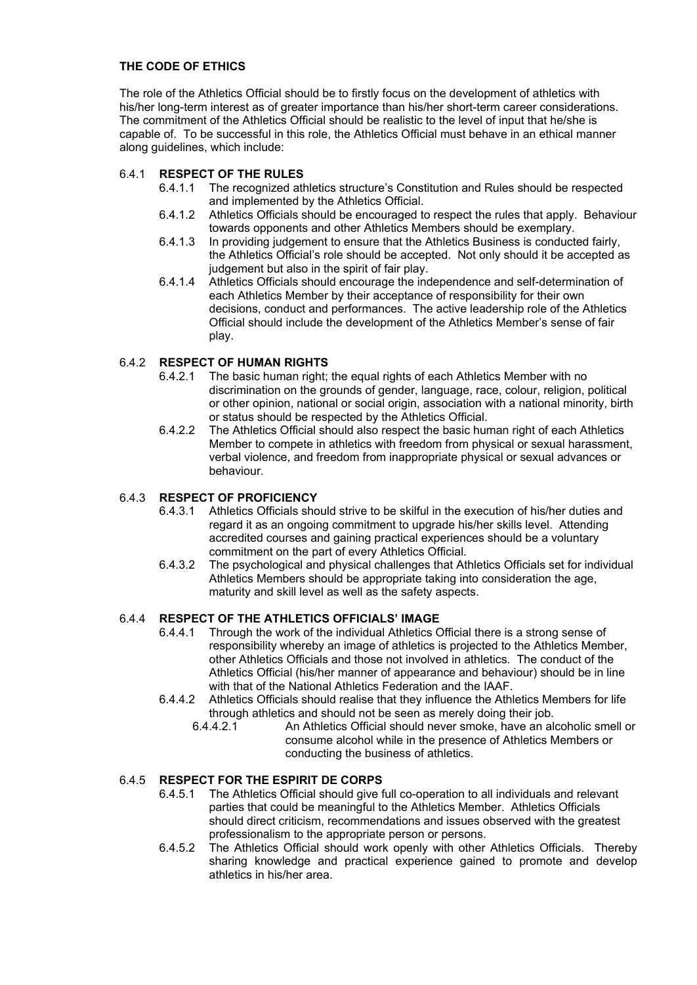# **THE CODE OF ETHICS**

The role of the Athletics Official should be to firstly focus on the development of athletics with his/her long-term interest as of greater importance than his/her short-term career considerations. The commitment of the Athletics Official should be realistic to the level of input that he/she is capable of. To be successful in this role, the Athletics Official must behave in an ethical manner along guidelines, which include:

# 6.4.1 **RESPECT OF THE RULES**

- 6.4.1.1 The recognized athletics structure's Constitution and Rules should be respected and implemented by the Athletics Official.
- 6.4.1.2 Athletics Officials should be encouraged to respect the rules that apply. Behaviour towards opponents and other Athletics Members should be exemplary.
- 6.4.1.3 In providing judgement to ensure that the Athletics Business is conducted fairly, the Athletics Official's role should be accepted. Not only should it be accepted as judgement but also in the spirit of fair play.
- 6.4.1.4 Athletics Officials should encourage the independence and self-determination of each Athletics Member by their acceptance of responsibility for their own decisions, conduct and performances. The active leadership role of the Athletics Official should include the development of the Athletics Member's sense of fair play.

# 6.4.2 **RESPECT OF HUMAN RIGHTS**

- 6.4.2.1 The basic human right; the equal rights of each Athletics Member with no discrimination on the grounds of gender, language, race, colour, religion, political or other opinion, national or social origin, association with a national minority, birth or status should be respected by the Athletics Official.
- 6.4.2.2 The Athletics Official should also respect the basic human right of each Athletics Member to compete in athletics with freedom from physical or sexual harassment, verbal violence, and freedom from inappropriate physical or sexual advances or behaviour.

## 6.4.3 **RESPECT OF PROFICIENCY**

- 6.4.3.1 Athletics Officials should strive to be skilful in the execution of his/her duties and regard it as an ongoing commitment to upgrade his/her skills level. Attending accredited courses and gaining practical experiences should be a voluntary commitment on the part of every Athletics Official.
- 6.4.3.2 The psychological and physical challenges that Athletics Officials set for individual Athletics Members should be appropriate taking into consideration the age, maturity and skill level as well as the safety aspects.

# 6.4.4 **RESPECT OF THE ATHLETICS OFFICIALS' IMAGE**

- 6.4.4.1 Through the work of the individual Athletics Official there is a strong sense of responsibility whereby an image of athletics is projected to the Athletics Member, other Athletics Officials and those not involved in athletics. The conduct of the Athletics Official (his/her manner of appearance and behaviour) should be in line with that of the National Athletics Federation and the IAAF.
- 6.4.4.2 Athletics Officials should realise that they influence the Athletics Members for life through athletics and should not be seen as merely doing their job.
	- 6.4.4.2.1 An Athletics Official should never smoke, have an alcoholic smell or consume alcohol while in the presence of Athletics Members or conducting the business of athletics.

## 6.4.5 **RESPECT FOR THE ESPIRIT DE CORPS**

- 6.4.5.1 The Athletics Official should give full co-operation to all individuals and relevant parties that could be meaningful to the Athletics Member. Athletics Officials should direct criticism, recommendations and issues observed with the greatest professionalism to the appropriate person or persons.
- 6.4.5.2 The Athletics Official should work openly with other Athletics Officials. Thereby sharing knowledge and practical experience gained to promote and develop athletics in his/her area.